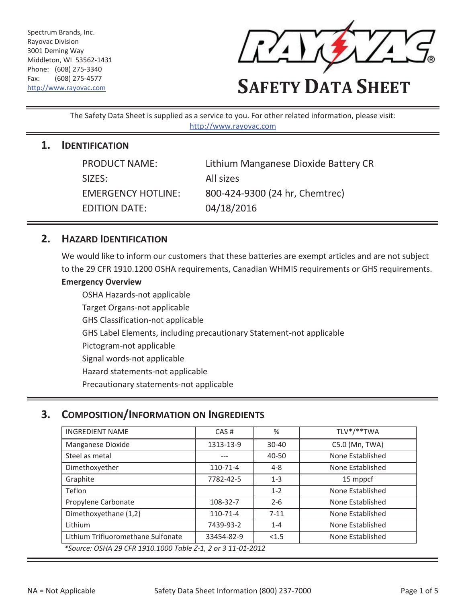Spectrum Brands, Inc. Rayovac Division 3001 Deming Way Middleton, WI 53562-1431 Phone: (608) 275-3340 Fax: (608) 275-4577



# Fax: (608) 275-4577<br>http://www.rayovac.com **SAFETY DATA SHEET**

The Safety Data Sheet is supplied as a service to you. For other related information, please visit: http://www.rayovac.com

#### **1. IDENTIFICATION**

| <b>PRODUCT NAME:</b>      | Lithium Manganese Dioxide Battery CR |
|---------------------------|--------------------------------------|
| SIZES:                    | All sizes                            |
| <b>EMERGENCY HOTLINE:</b> | 800-424-9300 (24 hr, Chemtrec)       |
| <b>EDITION DATE:</b>      | 04/18/2016                           |

#### **2. HAZARD IDENTIFICATION**

 to the 29 CFR 1910.1200 OSHA requirements, Canadian WHMIS requirements or GHS requirements. We would like to inform our customers that these batteries are exempt articles and are not subject

#### **Emergency Overview**

OSHA Hazards-not applicable Target Organs-not applicable GHS Classification-not applicable GHS Label Elements, including precautionary Statement-not applicable Pictogram-not applicable Signal words-not applicable Hazard statements-not applicable Precautionary statements-not applicable

## **3. COMPOSITION/INFORMATION ON INGREDIENTS**

| <b>INGREDIENT NAME</b>                                      | CAS#       | %         | TLV*/**TWA       |  |
|-------------------------------------------------------------|------------|-----------|------------------|--|
| Manganese Dioxide                                           | 1313-13-9  | $30 - 40$ | C5.0 (Mn, TWA)   |  |
| Steel as metal                                              |            | 40-50     | None Established |  |
| Dimethoxyether                                              | 110-71-4   | $4 - 8$   | None Established |  |
| Graphite                                                    | 7782-42-5  | $1 - 3$   | 15 mppcf         |  |
| Teflon                                                      |            | $1 - 2$   | None Established |  |
| Propylene Carbonate                                         | 108-32-7   | $2 - 6$   | None Established |  |
| Dimethoxyethane (1,2)                                       | 110-71-4   | $7 - 11$  | None Established |  |
| Lithium                                                     | 7439-93-2  | $1 - 4$   | None Established |  |
| Lithium Trifluoromethane Sulfonate                          | 33454-82-9 | < 1.5     | None Established |  |
| *Source: OSHA 29 CFR 1910.1000 Table Z-1, 2 or 3 11-01-2012 |            |           |                  |  |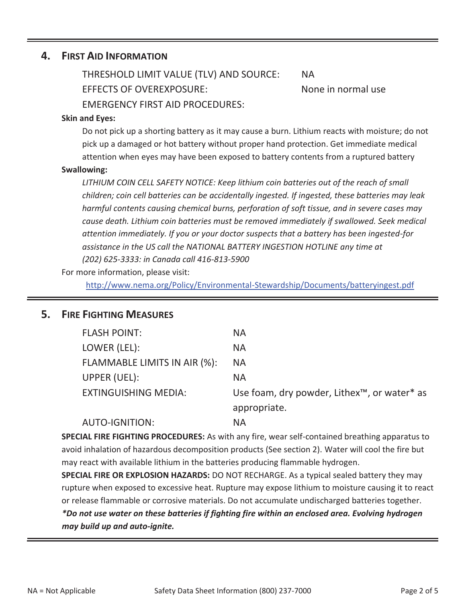#### **4. FIRST AID INFORMATION**

 EMERGENCY FIRST AID PROCEDURES: THRESHOLD LIMIT VALUE (TLV) AND SOURCE: NA EFFECTS OF OVEREXPOSURE:

None in normal use

#### **Skin and Eyes:**

 attention when eyes may have been exposed to battery contents from a ruptured battery Do not pick up a shorting battery as it may cause a burn. Lithium reacts with moisture; do not pick up a damaged or hot battery without proper hand protection. Get immediate medical

#### **Swallowing:**

*LITHIUM COIN CELL SAFETY NOTICE: Keep lithium coin batteries out of the reach of small children; coin cell batteries can be accidentally ingested. If ingested, these batteries may leak harmful contents causing chemical burns, perforation of soft tissue, and in severe cases may cause death. Lithium coin batteries must be removed immediately if swallowed. Seek medical attention immediately. If you or your doctor suspects that a battery has been ingested-for assistance in the US call the NATIONAL BATTERY INGESTION HOTLINE any time at (202) 625-3333: in Canada call 416-813-5900* 

For more information, please visit:

http://www.nema.org/Policy/Environmental-Stewardship/Documents/batteryingest.pdf

#### **5. FIRE FIGHTING MEASURES**

| <b>FLASH POINT:</b>          | <b>NA</b>                                                            |
|------------------------------|----------------------------------------------------------------------|
| LOWER (LEL):                 | <b>NA</b>                                                            |
| FLAMMABLE LIMITS IN AIR (%): | <b>NA</b>                                                            |
| UPPER (UEL):                 | <b>NA</b>                                                            |
| <b>EXTINGUISHING MEDIA:</b>  | Use foam, dry powder, Lithex <sup>™</sup> , or water <sup>*</sup> as |
|                              | appropriate.                                                         |
| <b>AUTO-IGNITION:</b>        | <b>NA</b>                                                            |

**SPECIAL FIRE FIGHTING PROCEDURES:** As with any fire, wear self-contained breathing apparatus to avoid inhalation of hazardous decomposition products (See section 2). Water will cool the fire but may react with available lithium in the batteries producing flammable hydrogen.

 **SPECIAL FIRE OR EXPLOSION HAZARDS:** DO NOT RECHARGE. As a typical sealed battery they may rupture when exposed to excessive heat. Rupture may expose lithium to moisture causing it to react or release flammable or corrosive materials. Do not accumulate undischarged batteries together. *\*Do not use water on these batteries if fighting fire within an enclosed area. Evolving hydrogen may build up and auto-ignite.*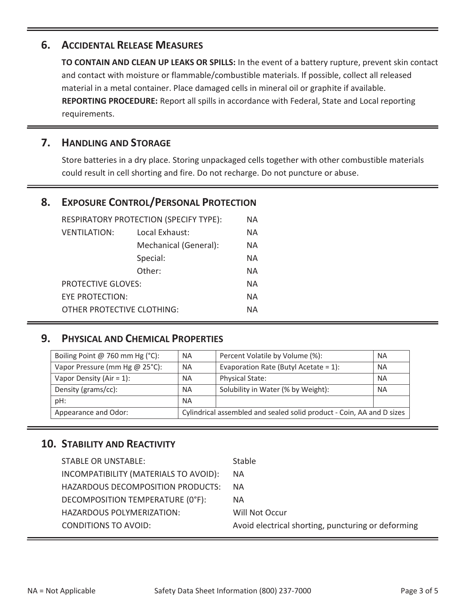## **6. ACCIDENTAL RELEASE MEASURES**

**TO CONTAIN AND CLEAN UP LEAKS OR SPILLS:** In the event of a battery rupture, prevent skin contact and contact with moisture or flammable/combustible materials. If possible, collect all released material in a metal container. Place damaged cells in mineral oil or graphite if available. **REPORTING PROCEDURE:** Report all spills in accordance with Federal, State and Local reporting requirements.

## **7. HANDLING AND STORAGE**

 could result in cell shorting and fire. Do not recharge. Do not puncture or abuse. Store batteries in a dry place. Storing unpackaged cells together with other combustible materials

# **8. EXPOSURE CONTROL/PERSONAL PROTECTION**

| RESPIRATORY PROTECTION (SPECIFY TYPE): |                       | ΝA |
|----------------------------------------|-----------------------|----|
| <b>VENTILATION:</b>                    | Local Exhaust:        | NА |
|                                        | Mechanical (General): | ΝA |
| Special:                               |                       | ΝA |
|                                        | Other:                | NА |
| <b>PROTECTIVE GLOVES:</b>              |                       | NА |
| <b>EYE PROTECTION:</b>                 |                       | ΝA |
| OTHER PROTECTIVE CLOTHING:             |                       | NА |

# **9. PHYSICAL AND CHEMICAL PROPERTIES**

| Boiling Point @ 760 mm Hg $(^{\circ}C)$ : | <b>NA</b>                                                             | Percent Volatile by Volume (%):          | <b>NA</b> |
|-------------------------------------------|-----------------------------------------------------------------------|------------------------------------------|-----------|
| Vapor Pressure (mm Hg @ 25°C):            | <b>NA</b>                                                             | Evaporation Rate (Butyl Acetate = $1$ ): | <b>NA</b> |
| Vapor Density (Air = $1$ ):               | <b>NA</b>                                                             | <b>Physical State:</b>                   | <b>NA</b> |
| Density (grams/cc):                       | <b>NA</b>                                                             | Solubility in Water (% by Weight):       | <b>NA</b> |
| pH:                                       | <b>NA</b>                                                             |                                          |           |
| Appearance and Odor:                      | Cylindrical assembled and sealed solid product - Coin, AA and D sizes |                                          |           |

## **10. STABILITY AND REACTIVITY**

| <b>STABLE OR UNSTABLE:</b>            | <b>Stable</b>                                      |
|---------------------------------------|----------------------------------------------------|
| INCOMPATIBILITY (MATERIALS TO AVOID): | <b>NA</b>                                          |
| HAZARDOUS DECOMPOSITION PRODUCTS:     | <b>NA</b>                                          |
| DECOMPOSITION TEMPERATURE (0°F):      | NA.                                                |
| HAZARDOUS POLYMERIZATION:             | Will Not Occur                                     |
| <b>CONDITIONS TO AVOID:</b>           | Avoid electrical shorting, puncturing or deforming |
|                                       |                                                    |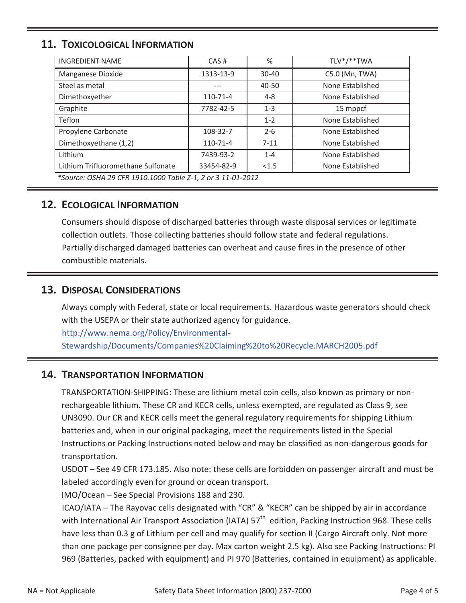# **11. TOXICOLOGICAL INFORMATION**

| <b>INGREDIENT NAME</b>                                      | CAS#       | %         | TLV*/**TWA       |  |
|-------------------------------------------------------------|------------|-----------|------------------|--|
| Manganese Dioxide                                           | 1313-13-9  | $30 - 40$ | C5.0 (Mn, TWA)   |  |
| Steel as metal                                              |            | 40-50     | None Established |  |
| Dimethoxyether                                              | 110-71-4   | $4 - 8$   | None Established |  |
| Graphite                                                    | 7782-42-5  | $1 - 3$   | 15 mppcf         |  |
| Teflon                                                      |            | $1 - 2$   | None Established |  |
| Propylene Carbonate                                         | 108-32-7   | $2 - 6$   | None Established |  |
| Dimethoxyethane (1,2)                                       | 110-71-4   | $7 - 11$  | None Established |  |
| Lithium                                                     | 7439-93-2  | $1 - 4$   | None Established |  |
| Lithium Trifluoromethane Sulfonate                          | 33454-82-9 | < 1.5     | None Established |  |
| *Source: OSHA 29 CFR 1910.1000 Table Z-1, 2 or 3 11-01-2012 |            |           |                  |  |

# **12. ECOLOGICAL INFORMATION**

Consumers should dispose of discharged batteries through waste disposal services or legitimate collection outlets. Those collecting batteries should follow state and federal regulations. Partially discharged damaged batteries can overheat and cause fires in the presence of other combustible materials.

## **13. DISPOSAL CONSIDERATIONS**

with the USEPA or their state authorized agency for guidance.<br>http://www.nema.org/Policy/Environmental-Always comply with Federal, state or local requirements. Hazardous waste generators should check

Stewardship/Documents/Companies%20Claiming%20to%20Recycle.MARCH2005.pdf

## **14. TRANSPORTATION INFORMATION**

 Instructions or Packing Instructions noted below and may be classified as non-dangerous goods for TRANSPORTATION-SHIPPING: These are lithium metal coin cells, also known as primary or nonrechargeable lithium. These CR and KECR cells, unless exempted, are regulated as Class 9, see UN3090. Our CR and KECR cells meet the general regulatory requirements for shipping Lithium batteries and, when in our original packaging, meet the requirements listed in the Special transportation.

USDOT – See 49 CFR 173.185. Also note: these cells are forbidden on passenger aircraft and must be labeled accordingly even for ground or ocean transport.

IMO/Ocean – See Special Provisions 188 and 230.

 than one package per consignee per day. Max carton weight 2.5 kg). Also see Packing Instructions: PI 969 (Batteries, packed with equipment) and PI 970 (Batteries, contained in equipment) as applicable. ICAO/IATA – The Rayovac cells designated with "CR" & "KECR" can be shipped by air in accordance with International Air Transport Association (IATA) 57<sup>th</sup> edition, Packing Instruction 968. These cells have less than 0.3 g of Lithium per cell and may qualify for section II (Cargo Aircraft only. Not more